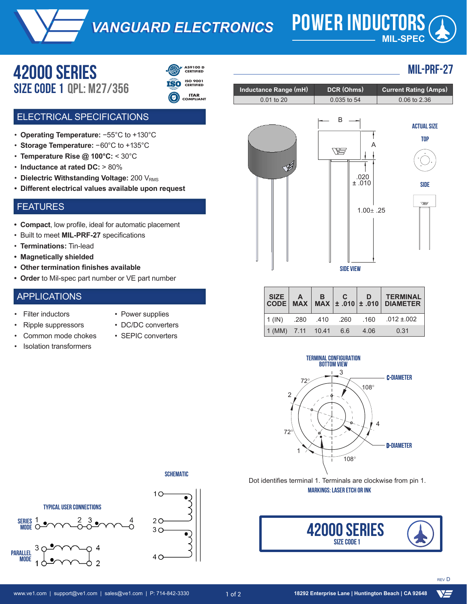*VANGUARD ELECTRONICS VANGUARD ELECTRONICS* **POWER INDUCTORS**

# **MIL-SPEC**

**MIL-PRF-27**

## **42000 serieS** Size CODE **1 QPL: M27/356**



- **ISO 9001 CERTIFIED**
- **ITAR COMPLIANT**

#### ELECTRICAL SPECIFICATIONS

- **Operating Temperature:** −55°C to +130°C
- **Storage Temperature:** −60°C to +135°C
- **Temperature Rise @ 100°C:** < 30°C
- Inductance at rated DC: > 80% of nominal
- Dielectric Withstanding Voltage: 200 V<sub>RMS</sub>
- **Different electrical values available upon request**

#### FEATURES

- **• Compact**, low profile, ideal for automatic placement
- Built to meet **MIL-PRF-27** specifications
- **Terminations:** Tin-lead
- **• Magnetically shielded**
- **• Other termination finishes available**
- **• Order** to Mil-spec part number or VE part number

#### APPLICATIONS

- **Filter inductors**
- Power supplies
- Ripple suppressors
- Common mode chokes
- Isolation transformers
- DC/DC converters



| B<br>A<br>$\begin{array}{c} .020 \\ \pm .010 \end{array}$ | <b>ACTUAL SIZE</b><br><b>TOP</b> |
|-----------------------------------------------------------|----------------------------------|
|                                                           | <b>SIDE</b>                      |
| $1.00 \pm .25$                                            | W                                |

**Inductance Range (mH) DCR (Ohms) Current Rating (Amps)** 0.01 to 20 0.035 to 54 0.06 to 2.36



|                        |  |      | $\begin{array}{ c c c c c c c c } \hline \text{SIZE} & \text{A} & \text{B} & \text{C} & \text{D} & \text{TERMINAL} \\ \hline \text{CODE} & \text{MAX} & \text{MAX} & \pm .010 & \pm .010 & \text{DIAMETER} \\ \hline \end{array}$ |
|------------------------|--|------|-----------------------------------------------------------------------------------------------------------------------------------------------------------------------------------------------------------------------------------|
|                        |  |      | $1(1)$ .280 .410 .260 .160 .012 ±.002                                                                                                                                                                                             |
| $1(MM)$ 7.11 10.41 6.6 |  | 4.06 | 0.31                                                                                                                                                                                                                              |



**SCHEMATIC**

়

•)



Dot identifies terminal 1. Terminals are clockwise from pin 1. **MARKINGS: LASER ETCH OR INK**



**YS**